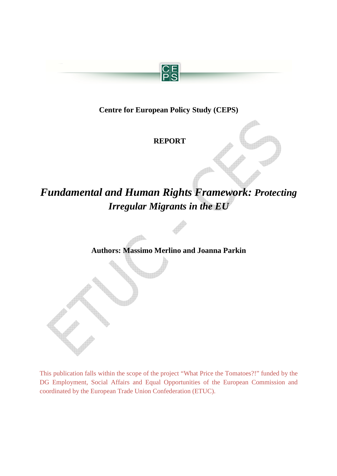

# **Centre for European Policy Study (CEPS)**

 **REPORT** 

# *Fundamental and Human Rights Framework: Protecting Irregular Migrants in the EU*

**Authors: Massimo Merlino and Joanna Parkin** 

This publication falls within the scope of the project "What Price the Tomatoes?!" funded by the DG Employment, Social Affairs and Equal Opportunities of the European Commission and coordinated by the European Trade Union Confederation (ETUC).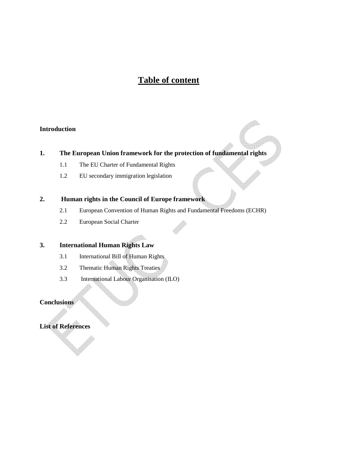# **Table of content**

### **Introduction**

## **1. The European Union framework for the protection of fundamental rights**

- 1.1 The EU Charter of Fundamental Rights
- 1.2 EU secondary immigration legislation

#### **2. Human rights in the Council of Europe framework**

- 2.1 European Convention of Human Rights and Fundamental Freedoms (ECHR)
- 2.2 European Social Charter

### **3. International Human Rights Law**

- 3.1 International Bill of Human Rights
- 3.2 Thematic Human Rights Treaties
- 3.3 International Labour Organisation (ILO)

### **Conclusions**

**List of References**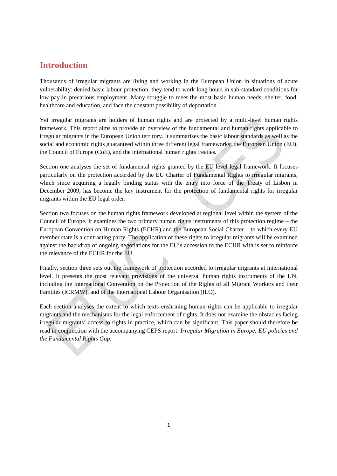# **Introduction**

Thousands of irregular migrants are living and working in the European Union in situations of acute vulnerability: denied basic labour protection, they tend to work long hours in sub-standard conditions for low pay in precarious employment. Many struggle to meet the most basic human needs: shelter, food, healthcare and education, and face the constant possibility of deportation.

Yet irregular migrants are holders of human rights and are protected by a multi-level human rights framework. This report aims to provide an overview of the fundamental and human rights applicable to irregular migrants in the European Union territory. It summarises the basic labour standards as well as the social and economic rights guaranteed within three different legal frameworks: the European Union (EU), the Council of Europe (CoE), and the international human rights treaties.

Section one analyses the set of fundamental rights granted by the EU level legal framework. It focuses particularly on the protection accorded by the EU Charter of Fundamental Rights to irregular migrants, which since acquiring a legally binding status with the entry into force of the Treaty of Lisbon in December 2009, has become the key instrument for the protection of fundamental rights for irregular migrants within the EU legal order.

Section two focuses on the human rights framework developed at regional level within the system of the Council of Europe. It examines the two primary human rights instruments of this protection regime – the European Convention on Human Rights (ECHR) and the European Social Charter – to which every EU member state is a contracting party. The application of these rights to irregular migrants will be examined against the backdrop of ongoing negotiations for the EU's accession to the ECHR with is set to reinforce the relevance of the ECHR for the EU.

Finally, section three sets out the framework of protection accorded to irregular migrants at international level. It presents the most relevant provisions of the universal human rights instruments of the UN, including the International Convention on the Protection of the Rights of all Migrant Workers and their Families (ICRMW), and of the International Labour Organisation (ILO).

Each section analyses the extent to which texts enshrining human rights can be applicable to irregular migrants and the mechanisms for the legal enforcement of rights. It does not examine the obstacles facing irregular migrants' access to rights in practice, which can be significant. This paper should therefore be read in conjunction with the accompanying CEPS report: *Irregular Migration in Europe: EU policies and the Fundamental Rights Gap*.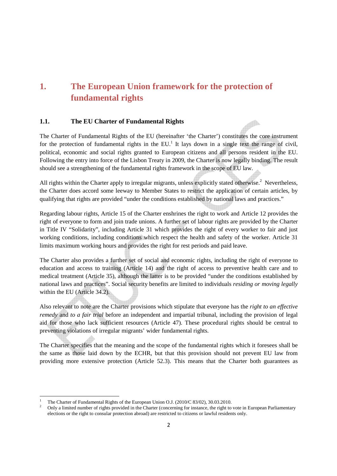# **1. The European Union framework for the protection of fundamental rights**

### **1.1. The EU Charter of Fundamental Rights**

The Charter of Fundamental Rights of the EU (hereinafter 'the Charter') constitutes the core instrument for the protection of fundamental rights in the  $EU<sup>1</sup>$  It lays down in a single text the range of civil, political, economic and social rights granted to European citizens and all persons resident in the EU. Following the entry into force of the Lisbon Treaty in 2009, the Charter is now legally binding. The result should see a strengthening of the fundamental rights framework in the scope of EU law.

dî.

All rights within the Charter apply to irregular migrants, unless explicitly stated otherwise.<sup>2</sup> Nevertheless, the Charter does accord some leeway to Member States to restrict the application of certain articles, by qualifying that rights are provided "under the conditions established by national laws and practices."

Regarding labour rights, Article 15 of the Charter enshrines the right to work and Article 12 provides the right of everyone to form and join trade unions. A further set of labour rights are provided by the Charter in Title IV "Solidarity", including Article 31 which provides the right of every worker to fair and just working conditions, including conditions which respect the health and safety of the worker. Article 31 limits maximum working hours and provides the right for rest periods and paid leave.

The Charter also provides a further set of social and economic rights, including the right of everyone to education and access to training (Article 14) and the right of access to preventive health care and to medical treatment (Article 35), although the latter is to be provided "under the conditions established by national laws and practices". Social security benefits are limited to individuals *residing or moving legally* within the EU (Article 34.2).

Also relevant to note are the Charter provisions which stipulate that everyone has the *right to an effective remedy* and *to a fair trial* before an independent and impartial tribunal, including the provision of legal aid for those who lack sufficient resources (Article 47). These procedural rights should be central to preventing violations of irregular migrants' wider fundamental rights.

The Charter specifies that the meaning and the scope of the fundamental rights which it foresees shall be the same as those laid down by the ECHR, but that this provision should not prevent EU law from providing more extensive protection (Article 52.3). This means that the Charter both guarantees as

<sup>1</sup> The Charter of Fundamental Rights of the European Union O.J. (2010/C 83/02), 30.03.2010.

<sup>2</sup> Only a limited number of rights provided in the Charter (concerning for instance, the right to vote in European Parliamentary elections or the right to consular protection abroad) are restricted to citizens or lawful residents only.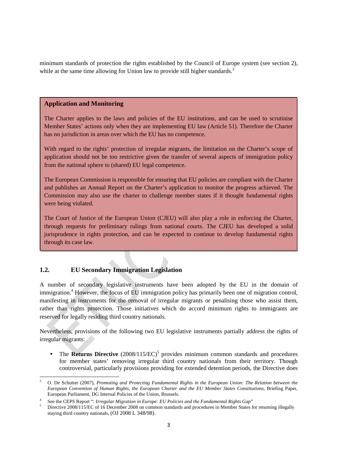minimum standards of protection the rights established by the Council of Europe system (see section 2), while at the same time allowing for Union law to provide still higher standards.<sup>3</sup>

#### **Application and Monitoring**

The Charter applies to the laws and policies of the EU institutions, and can be used to scrutinise Member States' actions only when they are implementing EU law (Article 51). Therefore the Charter has no jurisdiction in areas over which the EU has no competence.

With regard to the rights' protection of irregular migrants, the limitation on the Charter's scope of application should not be too restrictive given the transfer of several aspects of immigration policy from the national sphere to (shared) EU legal competence.

The European Commission is responsible for ensuring that EU policies are compliant with the Charter and publishes an Annual Report on the Charter's application to monitor the progress achieved. The Commission may also use the charter to challenge member states if it thought fundamental rights were being violated.

The Court of Justice of the European Union (CJEU) will also play a role in enforcing the Charter, through requests for preliminary rulings from national courts. The CJEU has developed a solid jurisprudence in rights protection, and can be expected to continue to develop fundamental rights through its case law.

### **1.2. EU Secondary Immigration Legislation**

l,

A number of secondary legislative instruments have been adopted by the EU in the domain of immigration.<sup>4</sup> However, the focus of EU immigration policy has primarily been one of migration control, manifesting in instruments for the removal of irregular migrants or penalising those who assist them, rather than rights protection. Those initiatives which do accord minimum rights to immigrants are reserved for legally residing third country nationals.

Nevertheless, provisions of the following two EU legislative instruments partially address the rights of irregular migrants:

• The Returns Directive (2008/115/EC)<sup>5</sup> provides minimum common standards and procedures for member states' removing irregular third country nationals from their territory. Though controversial, particularly provisions providing for extended detention periods, the Directive does

<sup>3</sup> O. De Schutter (2007), *Promoting and Protecting Fundamental Rights in the European Union: The Relation between the European Convention of Human Rights, the European Charter and the EU Member States Constitutions*, Briefing Paper, European Parliament, DG Internal Policies of the Union, Brussels.

<sup>4</sup> See the CEPS Report ": *Irregular Migration in Europe: EU Policies and the Fundamental Rights Gap*"

<sup>5</sup> Directive 2008/115/EC of 16 December 2008 on common standards and procedures in Member States for returning illegally staying third country nationals, (OJ 2008 L 348/98).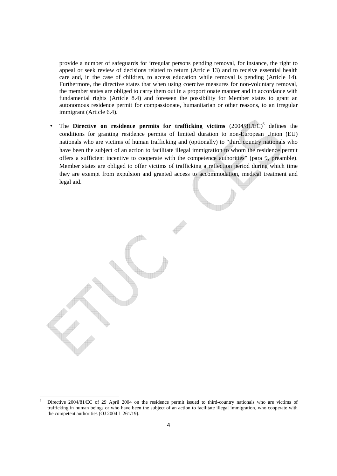provide a number of safeguards for irregular persons pending removal, for instance, the right to appeal or seek review of decisions related to return (Article 13) and to receive essential health care and, in the case of children, to access education while removal is pending (Article 14). Furthermore, the directive states that when using coercive measures for non-voluntary removal, the member states are obliged to carry them out in a proportionate manner and in accordance with fundamental rights (Article 8.4) and foreseen the possibility for Member states to grant an autonomous residence permit for compassionate, humanitarian or other reasons, to an irregular immigrant (Article 6.4).

• The Directive on residence permits for trafficking victims  $(2004/81/EC)^6$  defines the conditions for granting residence permits of limited duration to non-European Union (EU) nationals who are victims of human trafficking and (optionally) to "third country nationals who have been the subject of an action to facilitate illegal immigration to whom the residence permit offers a sufficient incentive to cooperate with the competence authorities" (para 9, preamble). Member states are obliged to offer victims of trafficking a reflection period during which time they are exempt from expulsion and granted access to accommodation, medical treatment and legal aid.

<sup>6</sup> Directive 2004/81/EC of 29 April 2004 on the residence permit issued to third-country nationals who are victims of trafficking in human beings or who have been the subject of an action to facilitate illegal immigration, who cooperate with the competent authorities (OJ 2004 L 261/19).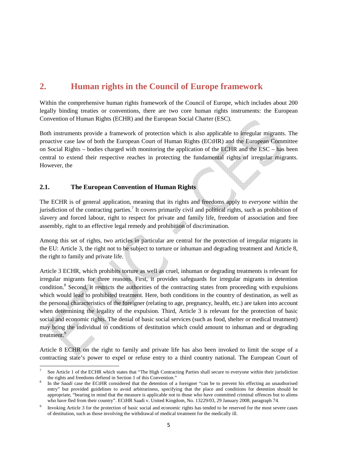# **2. Human rights in the Council of Europe framework**

Within the comprehensive human rights framework of the Council of Europe, which includes about 200 legally binding treaties or conventions, there are two core human rights instruments: the European Convention of Human Rights (ECHR) and the European Social Charter (ESC).

Both instruments provide a framework of protection which is also applicable to irregular migrants. The proactive case law of both the European Court of Human Rights (ECtHR) and the European Committee on Social Rights – bodies charged with monitoring the application of the ECHR and the ESC – has been central to extend their respective reaches in protecting the fundamental rights of irregular migrants. However, the

### **2.1. The European Convention of Human Rights**

 $\overline{a}$ 

The ECHR is of general application, meaning that its rights and freedoms apply to *everyone* within the jurisdiction of the contracting parties.<sup>7</sup> It covers primarily civil and political rights, such as prohibition of slavery and forced labour, right to respect for private and family life, freedom of association and free assembly, right to an effective legal remedy and prohibition of discrimination.

Among this set of rights, two articles in particular are central for the protection of irregular migrants in the EU: Article 3, the right not to be subject to torture or inhuman and degrading treatment and Article 8, the right to family and private life.

Article 3 ECHR, which prohibits torture as well as cruel, inhuman or degrading treatments is relevant for irregular migrants for three reasons. First, it provides safeguards for irregular migrants in detention condition.<sup>8</sup> Second, it restricts the authorities of the contracting states from proceeding with expulsions which would lead to prohibited treatment. Here, both conditions in the country of destination, as well as the personal characteristics of the foreigner (relating to age, pregnancy, health, etc.) are taken into account when determining the legality of the expulsion. Third, Article 3 is relevant for the protection of basic social and economic rights. The denial of basic social services (such as food, shelter or medical treatment) may bring the individual to conditions of destitution which could amount to inhuman and or degrading treatment.<sup>9</sup>

Article 8 ECHR on the right to family and private life has also been invoked to limit the scope of a contracting state's power to expel or refuse entry to a third country national. The European Court of

<sup>7</sup> See Article 1 of the ECHR which states that "The High Contracting Parties shall secure to everyone within their jurisdiction the rights and freedoms defiend in Section 1 of this Convention."

<sup>8</sup> In the *Saadi* case the ECtHR considered that the detention of a foreigner "can be to prevent his effecting an unauthorised entry" but provided guidelines to avoid arbitrariness, specifying that the place and conditions for detention should be appropriate, "bearing in mind that the measure is applicable not to those who have committed criminal offences but to aliens who have fled from their country". ECtHR Saadi v. United Kingdom, No. 13229/03, 29 January 2008, paragraph 74.

<sup>9</sup> Invoking Article 3 for the protection of basic social and economic rights has tended to be reserved for the most severe cases of destitution, such as those involving the withdrawal of medical treatment for the medically ill.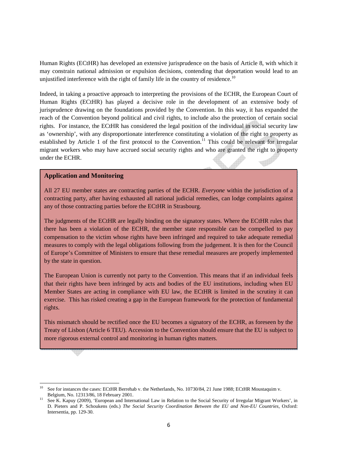Human Rights (ECtHR) has developed an extensive jurisprudence on the basis of Article 8, with which it may constrain national admission or expulsion decisions, contending that deportation would lead to an unjustified interference with the right of family life in the country of residence.<sup>10</sup>

Indeed, in taking a proactive approach to interpreting the provisions of the ECHR, the European Court of Human Rights (ECtHR) has played a decisive role in the development of an extensive body of jurisprudence drawing on the foundations provided by the Convention. In this way, it has expanded the reach of the Convention beyond political and civil rights, to include also the protection of certain social rights. For instance, the ECtHR has considered the legal position of the individual in social security law as 'ownership', with any disproportionate interference constituting a violation of the right to property as established by Article 1 of the first protocol to the Convention.<sup>11</sup> This could be relevant for irregular migrant workers who may have accrued social security rights and who are granted the right to property under the ECHR.

#### **Application and Monitoring**

l,

All 27 EU member states are contracting parties of the ECHR. *Everyone* within the jurisdiction of a contracting party, after having exhausted all national judicial remedies, can lodge complaints against any of those contracting parties before the ECtHR in Strasbourg.

The judgments of the ECtHR are legally binding on the signatory states. Where the ECtHR rules that there has been a violation of the ECHR, the member state responsible can be compelled to pay compensation to the victim whose rights have been infringed and required to take adequate remedial measures to comply with the legal obligations following from the judgement. It is then for the Council of Europe's Committee of Ministers to ensure that these remedial measures are properly implemented by the state in question.

The European Union is currently not party to the Convention. This means that if an individual feels that their rights have been infringed by acts and bodies of the EU institutions, including when EU Member States are acting in compliance with EU law, the ECtHR is limited in the scrutiny it can exercise. This has risked creating a gap in the European framework for the protection of fundamental rights.

This mismatch should be rectified once the EU becomes a signatory of the ECHR, as foreseen by the Treaty of Lisbon (Article 6 TEU). Accession to the Convention should ensure that the EU is subject to more rigorous external control and monitoring in human rights matters.

<sup>&</sup>lt;sup>10</sup> See for instances the cases: ECtHR Berrehab v. the Netherlands, No. 10730/84, 21 June 1988; ECtHR Moustaquim v. Belgium, No. 12313/86, 18 February 2001.

See K. Kapuy (2009), 'European and International Law in Relation to the Social Security of Irregular Migrant Workers', in D. Pieters and P. Schoukens (eds.) *The Social Security Coordination Between the EU and Non-EU Countries*, Oxford: Intersentia, pp. 129-30.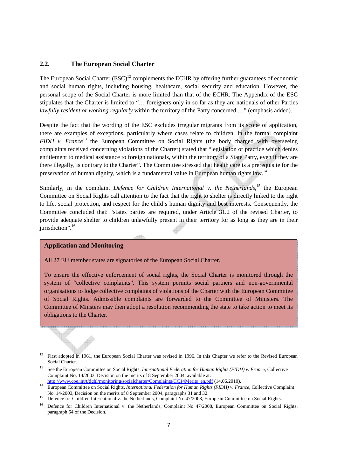#### **2.2. The European Social Charter**

The European Social Charter  $(ESC)^{12}$  complements the ECHR by offering further guarantees of economic and social human rights, including housing, healthcare, social security and education. However, the personal scope of the Social Charter is more limited than that of the ECHR. The Appendix of the ESC stipulates that the Charter is limited to "… foreigners only in so far as they are nationals of other Parties *lawfully resident or working regularly* within the territory of the Party concerned …" (emphasis added).

Despite the fact that the wording of the ESC excludes irregular migrants from its scope of application, there are examples of exceptions, particularly where cases relate to children. In the formal complaint *FIDH v. France*<sup>13</sup> the European Committee on Social Rights (the body charged with overseeing complaints received concerning violations of the Charter) stated that "legislation or practice which denies entitlement to medical assistance to foreign nationals, within the territory of a State Party, even if they are there illegally, is contrary to the Charter". The Committee stressed that health care is a prerequisite for the preservation of human dignity, which is a fundamental value in European human rights law.<sup>14</sup>

Similarly, in the complaint *Defence for Children International v. the Netherlands*,<sup>15</sup> the European Committee on Social Rights call attention to the fact that the right to shelter is directly linked to the right to life, social protection, and respect for the child's human dignity and best interests. Consequently, the Committee concluded that: "states parties are required, under Article 31.2 of the revised Charter, to provide adequate shelter to children unlawfully present in their territory for as long as they are in their jurisdiction".<sup>16</sup>

#### **Application and Monitoring**

 $\overline{a}$ 

All 27 EU member states are signatories of the European Social Charter.

To ensure the effective enforcement of social rights, the Social Charter is monitored through the system of "collective complaints". This system permits social partners and non-governmental organisations to lodge collective complaints of violations of the Charter with the European Committee of Social Rights. Admissible complaints are forwarded to the Committee of Ministers. The Committee of Minsters may then adopt a resolution recommending the state to take action to meet its obligations to the Charter.

 $\overline{\phantom{a}}$ 

<sup>&</sup>lt;sup>12</sup> First adopted in 1961, the European Social Charter was revised in 1996. In this Chapter we refer to the Revised European Social Charter.

<sup>13</sup> See the European Committee on Social Rights, *International Federation for Human Rights (FIDH) v. France*, Collective Complaint No. 14/2003, Decision on the merits of 8 September 2004, available at: http://www.coe.int/t/dghl/monitoring/socialcharter/Complaints/CC14Merits\_en.pdf (14.06.2010).

<sup>14</sup> European Committee on Social Rights, *International Federation for Human Rights (FIDH) v. France*, Collective Complaint No. 14/2003, Decision on the merits of 8 September 2004, paragraphs 31 and 32.

<sup>&</sup>lt;sup>15</sup> Defence for Children International v. the Netherlands, Complaint No 47/2008, European Committee on Social Rights.

<sup>&</sup>lt;sup>16</sup> Defence for Children International v. the Netherlands, Complaint No 47/2008, European Committee on Social Rights, paragraph 64 of the Decision.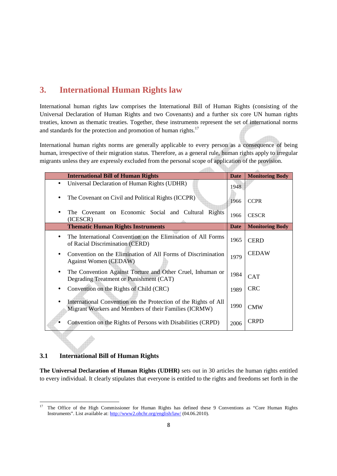# **3. International Human Rights law**

International human rights law comprises the International Bill of Human Rights (consisting of the Universal Declaration of Human Rights and two Covenants) and a further six core UN human rights treaties, known as thematic treaties. Together, these instruments represent the set of international norms and standards for the protection and promotion of human rights.<sup>17</sup>

International human rights norms are generally applicable to every person as a consequence of being human, irrespective of their migration status. Therefore, as a general rule, human rights apply to irregular migrants unless they are expressly excluded from the personal scope of application of the provision.

 $\sim$ 

|           | <b>International Bill of Human Rights</b>                                                                                | <b>Date</b> | <b>Monitoring Body</b> |
|-----------|--------------------------------------------------------------------------------------------------------------------------|-------------|------------------------|
|           | Universal Declaration of Human Rights (UDHR)                                                                             | 1948        |                        |
|           | The Covenant on Civil and Political Rights (ICCPR)                                                                       | 1966        | <b>CCPR</b>            |
|           | The Covenant on Economic Social and Cultural Rights<br>(ICESCR)                                                          | 1966        | <b>CESCR</b>           |
|           | <b>Thematic Human Rights Instruments</b>                                                                                 | <b>Date</b> | <b>Monitoring Body</b> |
| $\bullet$ | The International Convention on the Elimination of All Forms<br>of Racial Discrimination (CERD)                          | 1965        | <b>CERD</b>            |
|           | Convention on the Elimination of All Forms of Discrimination<br><b>Against Women (CEDAW)</b>                             | 1979        | <b>CEDAW</b>           |
|           | The Convention Against Torture and Other Cruel, Inhuman or<br>Degrading Treatment or Punishment (CAT)                    | 1984        | <b>CAT</b>             |
| $\bullet$ | Convention on the Rights of Child (CRC)                                                                                  | 1989        | <b>CRC</b>             |
|           | International Convention on the Protection of the Rights of All<br>Migrant Workers and Members of their Families (ICRMW) | 1990        | <b>CMW</b>             |
|           | Convention on the Rights of Persons with Disabilities (CRPD)                                                             | 2006        | <b>CRPD</b>            |

### **3.1 International Bill of Human Rights**

 $\overline{a}$ 

**The Universal Declaration of Human Rights (UDHR)** sets out in 30 articles the human rights entitled to every individual. It clearly stipulates that everyone is entitled to the rights and freedoms set forth in the

<sup>&</sup>lt;sup>17</sup> The Office of the High Commissioner for Human Rights has defined these 9 Conventions as "Core Human Rights Instruments". List available at: http://www2.ohchr.org/english/law/ (04.06.2010).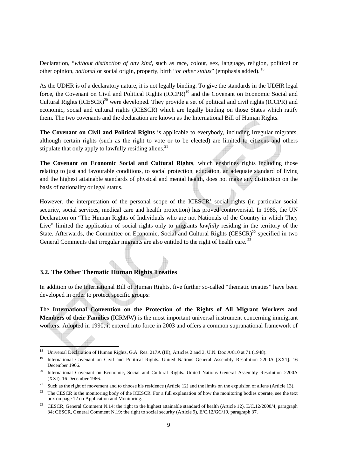Declaration, "*without distinction of any kind*, such as race, colour, sex, language, religion, political or other opinion, *national* or social origin, property, birth "*or other status*" (emphasis added).<sup>18</sup>

As the UDHR is of a declaratory nature, it is not legally binding. To give the standards in the UDHR legal force, the Covenant on Civil and Political Rights (ICCPR)<sup>19</sup> and the Covenant on Economic Social and Cultural Rights  $(ICESCR)^{20}$  were developed. They provide a set of political and civil rights (ICCPR) and economic, social and cultural rights (ICESCR) which are legally binding on those States which ratify them. The two covenants and the declaration are known as the International Bill of Human Rights.

**The Covenant on Civil and Political Rights** is applicable to everybody, including irregular migrants, although certain rights (such as the right to vote or to be elected) are limited to citizens and others stipulate that only apply to lawfully residing aliens. $21$ 

**The Covenant on Economic Social and Cultural Rights**, which enshrines rights including those relating to just and favourable conditions, to social protection, education, an adequate standard of living and the highest attainable standards of physical and mental health, does not make any distinction on the basis of nationality or legal status.

However, the interpretation of the personal scope of the ICESCR' social rights (in particular social security, social services, medical care and health protection) has proved controversial. In 1985, the UN Declaration on "The Human Rights of Individuals who are not Nationals of the Country in which They Live" limited the application of social rights only to migrants *lawfully* residing in the territory of the State. Afterwards, the Committee on Economic, Social and Cultural Rights  $(CESCR)^{22}$  specified in two General Comments that irregular migrants are also entitled to the right of health care.<sup>23</sup>

### **3.2. The Other Thematic Human Rights Treaties**

l,

In addition to the International Bill of Human Rights, five further so-called "thematic treaties" have been developed in order to protect specific groups:

The **International Convention on the Protection of the Rights of All Migrant Workers and Members of their Families** (ICRMW) is the most important universal instrument concerning immigrant workers. Adopted in 1990, it entered into force in 2003 and offers a common supranational framework of

<sup>&</sup>lt;sup>18</sup> Universal Declaration of Human Rights, G.A. Res. 217A (III), Articles 2 and 3, U.N. Doc A/810 at 71 (1948).

<sup>19</sup> International Covenant on Civil and Political Rights. United Nations General Assembly Resolution 2200A [XX1]. 16 December 1966.

<sup>&</sup>lt;sup>20</sup> International Covenant on Economic, Social and Cultural Rights. United Nations General Assembly Resolution 2200A (XXI). 16 December 1966.

<sup>&</sup>lt;sup>21</sup> Such as the right of movement and to choose his residence (Article 12) and the limits on the expulsion of aliens (Article 13).

<sup>&</sup>lt;sup>22</sup> The CESCR is the monitoring body of the ICESCR. For a full explanation of how the monitoring bodies operate, see the text box on page 12 on Application and Monitoring.

<sup>&</sup>lt;sup>23</sup> CESCR, General Comment N.14: the right to the highest attainable standard of health (Article 12), E/C.12/2000/4, paragraph 34; CESCR, General Comment N.19: the right to social security (Article 9), E/C.12/GC/19, paragraph 37.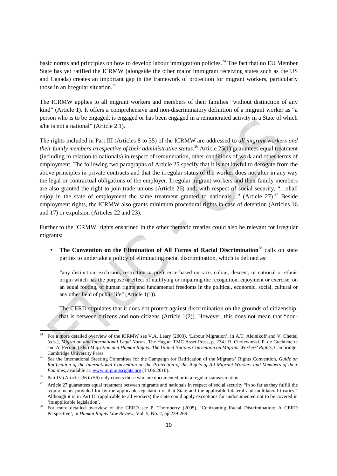basic norms and principles on how to develop labour immigration policies.<sup>24</sup> The fact that no EU Member State has yet ratified the ICRMW (alongside the other major immigrant receiving states such as the US and Canada) creates an important gap in the framework of protection for migrant workers, particularly those in an irregular situation. $25$ 

The ICRMW applies to all migrant workers and members of their families "without distinction of any kind" (Article 1). It offers a comprehensive and non-discriminatory definition of a migrant worker as "a person who is to be engaged, is engaged or has been engaged in a remunerated activity in a State of which s/he is not a national" (Article 2.1).

The rights included in Part III (Articles 8 to 35) of the ICRMW are addressed to *all migrant workers and their family members irrespective of their administrative status*. <sup>26</sup> Article 25(1) guarantees equal treatment (including in relation to nationals) in respect of remuneration, other conditions of work and other terms of employment. The following two paragraphs of Article 25 specify that it is not lawful to derogate from the above principles in private contracts and that the irregular status of the worker does not alter in any way the legal or contractual obligations of the employer. Irregular migrant workers and their family members are also granted the right to join trade unions (Article 26) and, with respect of social security, "…shall enjoy in the state of employment the same treatment granted to nationals..." (Article 27).<sup>27</sup> Beside employment rights, the ICRMW also grants minimum procedural rights in case of detention (Articles 16 and 17) or expulsion (Articles 22 and 23).

Further to the ICRMW, rights enshrined in the other thematic treaties could also be relevant for irregular migrants:

• The Convention on the Elimination of All Forms of Racial Discrimination<sup>28</sup> calls on state parties to undertake a policy of eliminating racial discrimination, which is defined as:

"any distinction, exclusion, restriction or preference based on race, colour, descent, or national or ethnic origin which has the purpose or effect of nullifying or impairing the recognition, enjoyment or exercise, on an equal footing, of human rights and fundamental freedoms in the political, economic, social, cultural or any other field of public life" (Article 1(1)).

The CERD stipulates that it does not protect against discrimination on the grounds of citizenship, that is between citizens and non-citizens (Article 1(2)). However, this does not mean that "non-

<sup>24</sup> For a more detailed overview of the ICRMW see V.A. Leary (2003), 'Labour Migration', in A.T. Aleinikoff and V. Chetial (eds.), *Migration and International Legal Norms*, The Hague: TMC Asser Press, p. 234.; R. Cholewinski, P. de Guchteneire and A. Pecoud (eds.) *Migration and Human Rights: The United Nations Convention on Migrant Workers' Rights*, Cambridge: Cambridge University Press.

<sup>&</sup>lt;sup>25</sup> See the International Steering Committee for the Campaign for Ratification of the Migrants' Rights Convention, *Guide on Ratification of the International Convention on the Protection of the Rights of All Migrant Workers and Members of their Families*, available at: www.migrantsrights.org (14.06.2010).

<sup>&</sup>lt;sup>26</sup> Part IV (Articles 36 to 56) only covers those who are documented or in a regular status/situation.

<sup>27</sup> Article 27 guarantees equal treatment between migrants and nationals in respect of social security "in so far as they fulfill the requirements provided for by the applicable legislation of that State and the applicable bilateral and multilateral treaties." Although it is in Part III (applicable to all workers) the state could apply exceptions for undocumented not to be covered in 'its applicable legislation'.

<sup>28</sup> For more detailed overview of the CERD see P. Thornberry (2005), 'Confronting Racial Discrimination: A CERD Perspective', in *Human Rights Law Review*, Vol. 5, No. 2, pp.239-269.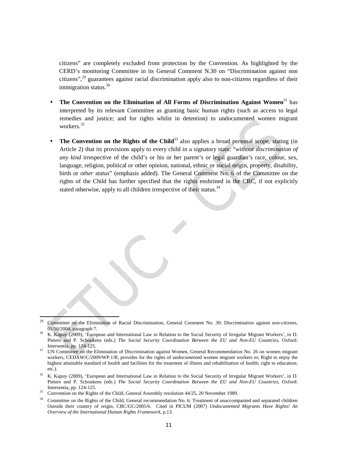citizens" are completely excluded from protection by the Convention. As highlighted by the CERD's monitoring Committee in its General Comment N.30 on "Discrimination against non citizens",<sup>29</sup> guarantees against racial discrimination apply also to non-citizens regardless of their immigration status.<sup>30</sup>

- **The Convention on the Elimination of All Forms of Discrimination Against Women**<sup>31</sup> has interpreted by its relevant Committee as granting basic human rights (such as access to legal remedies and justice; and for rights whilst in detention) to undocumented women migrant workers.<sup>32</sup>
- **The Convention on the Rights of the Child**<sup>33</sup> also applies a broad personal scope, stating (in Article 2) that its provisions apply to every child in a signatory state: "*without discrimination of any kind* irrespective of the child's or his or her parent's or legal guardian's race, colour, sex, language, religion, political or other opinion, national, ethnic or social origin, property, disability, birth or *other status*" (emphasis added). The General Comment No. 6 of the Committee on the rights of the Child has further specified that the rights enshrined in the CRC, if not explicitly stated otherwise, apply to all children irrespective of their status.<sup>34</sup>

<sup>29</sup> Committee on the Elimination of Racial Discrimination, General Comment No. 30: Discrimination against non-citizens, 01/10/2004, paragraph 7.

- <sup>30</sup> K. Kapuy (2009), 'European and International Law in Relation to the Social Security of Irregular Migrant Workers', in D. Pieters and P. Schoukens (eds.) *The Social Security Coordination Between the EU and Non-EU Countries*, Oxford: Intersentia, pp. 124-125.
- <sup>31</sup> UN Committee on the Elimination of Discrimination against Women, General Recommendation No. 26 on women migrant workers, CEDAW/C/2009/WP.1/R, provides for the rights of undocumented women migrant workers to; Right to enjoy the highest attainable standard of health and facilities for the treatment of illness and rehabilitation of health; right to education; etc.).
- <sup>32</sup> K. Kapuy (2009), 'European and International Law in Relation to the Social Security of Irregular Migrant Workers', in D. Pieters and P. Schoukens (eds.) *The Social Security Coordination Between the EU and Non-EU Countries*, Oxford: Intersentia, pp. 124-125.
- <sup>33</sup> Convention on the Rights of the Child, General Assembly resolution 44/25, 20 November 1989.

l,

<sup>34</sup> Committee on the Rights of the Child, General recommendation No. 6: Treatment of unaccompanied and separated children Outside their country of origin, CRC/GC/2005/6. Cited in PICUM (2007) *Undocumented Migrants Have Rights! An Overview of the International Human Rights Framework*, p.13.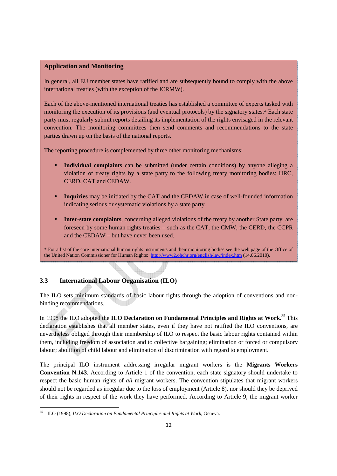#### **Application and Monitoring**

In general, all EU member states have ratified and are subsequently bound to comply with the above international treaties (with the exception of the ICRMW).

Each of the above-mentioned international treaties has established a committee of experts tasked with monitoring the execution of its provisions (and eventual protocols) by the signatory states.\* Each state party must regularly submit reports detailing its implementation of the rights envisaged in the relevant convention. The monitoring committees then send comments and recommendations to the state parties drawn up on the basis of the national reports.

The reporting procedure is complemented by three other monitoring mechanisms:

- **Individual complaints** can be submitted (under certain conditions) by anyone alleging a violation of treaty rights by a state party to the following treaty monitoring bodies: HRC, CERD, CAT and CEDAW.
- **Inquiries** may be initiated by the CAT and the CEDAW in case of well-founded information indicating serious or systematic violations by a state party.
- **Inter-state complaints**, concerning alleged violations of the treaty by another State party, are foreseen by some human rights treaties – such as the CAT, the CMW, the CERD, the CCPR and the CEDAW – but have never been used.

\* For a list of the core international human rights instruments and their monitoring bodies see the web page of the Office of the United Nation Commissioner for Human Rights: http://www2.ohchr.org/english/law/index.htm (14.06.2010).

 $\overline{\phantom{a}}$ 

### **3.3 International Labour Organisation (ILO)**

The ILO sets minimum standards of basic labour rights through the adoption of conventions and nonbinding recommendations.

In 1998 the ILO adopted the **ILO Declaration on Fundamental Principles and Rights at Work**. <sup>35</sup> This declaration establishes that all member states, even if they have not ratified the ILO conventions, are nevertheless obliged through their membership of ILO to respect the basic labour rights contained within them, including freedom of association and to collective bargaining; elimination or forced or compulsory labour; abolition of child labour and elimination of discrimination with regard to employment.

The principal ILO instrument addressing irregular migrant workers is the **Migrants Workers Convention N.143**. According to Article 1 of the convention, each state signatory should undertake to respect the basic human rights of *all* migrant workers. The convention stipulates that migrant workers should not be regarded as irregular due to the loss of employment (Article 8), nor should they be deprived of their rights in respect of the work they have performed. According to Article 9, the migrant worker

<sup>35</sup> ILO (1998), *ILO Declaration on Fundamental Principles and Rights at Work*, Geneva.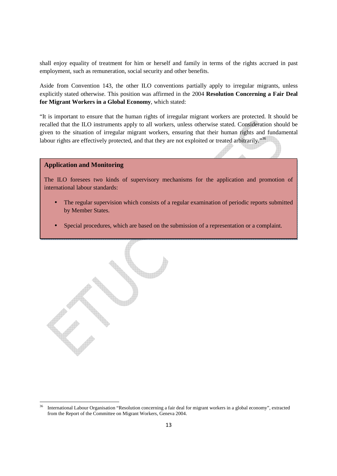shall enjoy equality of treatment for him or herself and family in terms of the rights accrued in past employment, such as remuneration, social security and other benefits.

Aside from Convention 143, the other ILO conventions partially apply to irregular migrants, unless explicitly stated otherwise. This position was affirmed in the 2004 **Resolution Concerning a Fair Deal for Migrant Workers in a Global Economy**, which stated:

"It is important to ensure that the human rights of irregular migrant workers are protected. It should be recalled that the ILO instruments apply to all workers, unless otherwise stated. Consideration should be given to the situation of irregular migrant workers, ensuring that their human rights and fundamental labour rights are effectively protected, and that they are not exploited or treated arbitrarily."<sup>36</sup>

#### **Application and Monitoring**

The ILO foresees two kinds of supervisory mechanisms for the application and promotion of international labour standards:

- The regular supervision which consists of a regular examination of periodic reports submitted by Member States.
- Special procedures, which are based on the submission of a representation or a complaint.



<sup>&</sup>lt;sup>36</sup> International Labour Organisation "Resolution concerning a fair deal for migrant workers in a global economy", extracted from the Report of the Committee on Migrant Workers, Geneva 2004.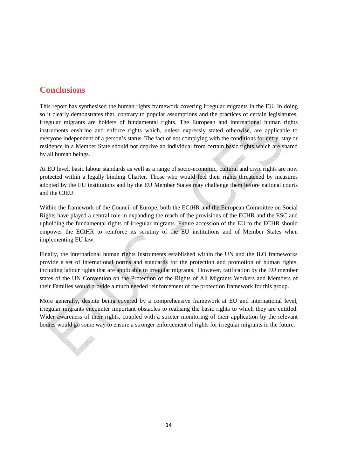# **Conclusions**

This report has synthesised the human rights framework covering irregular migrants in the EU. In doing so it clearly demonstrates that, contrary to popular assumptions and the practices of certain legislatures, irregular migrants are holders of fundamental rights. The European and international human rights instruments enshrine and enforce rights which, unless expressly stated otherwise, are applicable to everyone independent of a person's status. The fact of not complying with the conditions for entry, stay or residence in a Member State should not deprive an individual from certain basic rights which are shared by all human beings.

At EU level, basic labour standards as well as a range of socio-economic, cultural and civic rights are now protected within a legally binding Charter. Those who would feel their rights threatened by measures adopted by the EU institutions and by the EU Member States may challenge them before national courts and the CJEU.

Within the framework of the Council of Europe, both the ECtHR and the European Committee on Social Rights have played a central role in expanding the reach of the provisions of the ECHR and the ESC and upholding the fundamental rights of irregular migrants. Future accession of the EU to the ECHR should empower the ECtHR to reinforce its scrutiny of the EU institutions and of Member States when implementing EU law.

Finally, the international human rights instruments established within the UN and the ILO frameworks provide a set of international norms and standards for the protection and promotion of human rights, including labour rights that are applicable to irregular migrants. However, ratification by the EU member states of the UN Convention on the Protection of the Rights of All Migrants Workers and Members of their Families would provide a much needed reinforcement of the protection framework for this group.

More generally, despite being covered by a comprehensive framework at EU and international level, irregular migrants encounter important obstacles to realising the basic rights to which they are entitled. Wider awareness of their rights, coupled with a stricter monitoring of their application by the relevant bodies would go some way to ensure a stronger enforcement of rights for irregular migrants in the future.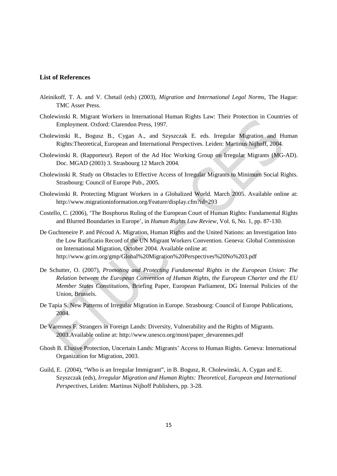#### **List of References**

- Aleinikoff, T. A. and V. Chetail (eds) (2003), *Migration and International Legal Norms*, The Hague: TMC Asser Press.
- Cholewinski R. Migrant Workers in International Human Rights Law: Their Protection in Countries of Employment. Oxford: Clarendon Press, 1997.
- Cholewinski R., Bogusz B., Cygan A., and Szyszczak E. eds. Irregular Migration and Human Rights:Theoretical, European and International Perspectives. Leiden: Martinus Nijhoff, 2004.
- Cholewinski R. (Rapporteur). Report of the Ad Hoc Working Group on Irregular Migrants (MG-AD). Doc. MGAD (2003) 3. Strasbourg 12 March 2004.
- Cholewinski R. Study on Obstacles to Effective Access of Irregular Migrants to Minimum Social Rights. Strasbourg: Council of Europe Pub., 2005.
- Cholewinski R. Protecting Migrant Workers in a Globalized World. March 2005. Available online at: http://www.migrationinformation.org/Feature/display.cfm?id=293
- Costello, C. (2006), 'The Bosphorus Ruling of the European Court of Human Rights: Fundamental Rights and Blurred Boundaries in Europe', in *Human Rights Law Review*, Vol. 6, No. 1, pp. 87-130.
- De Guchteneire P. and Pécoud A. Migration, Human Rights and the United Nations: an Investigation Into the Low Ratificatio Record of the UN Migrant Workers Convention. Geneva: Global Commission on International Migration, October 2004. Available online at: http://www.gcim.org/gmp/Global%20Migration%20Perspectives%20No%203.pdf
- De Schutter, O. (2007), *Promoting and Protecting Fundamental Rights in the European Union: The Relation between the European Convention of Human Rights, the European Charter and the EU Member States Constitutions*, Briefing Paper, European Parliament, DG Internal Policies of the Union, Brussels.
- De Tapia S. New Patterns of Irregular Migration in Europe. Strasbourg: Council of Europe Publications, 2004.
- De Varennes F. Strangers in Foreign Lands: Diversity, Vulnerability and the Rights of Migrants. 2003.Available online at: http://www.unesco.org/most/paper\_devarennes.pdf
- Ghosh B. Elusive Protection, Uncertain Lands: Migrants' Access to Human Rights. Geneva: International Organization for Migration, 2003.
- Guild, E. (2004), "Who is an Irregular Immigrant", in B. Bogusz, R. Cholewinski, A. Cygan and E. Szyszczak (eds), *Irregular Migration and Human Rights: Theoretical, European and International Perspectives*, Leiden: Martinus Nijhoff Publishers, pp. 3-28.